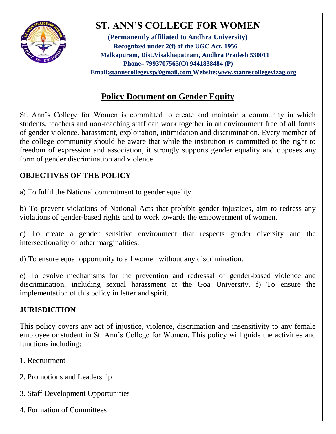

# **ST. ANN'S COLLEGE FOR WOMEN**

**(Permanently affiliated to Andhra University) Recognized under 2(f) of the UGC Act, 1956 Malkapuram, Dist.Visakhapatnam, Andhra Pradesh 530011 Phone– 7993707565(O) 9441838484 (P) Email[:stannscollegevsp@gmail.com W](mailto:stannscollegevsp@gmail.com)ebsite[:www.stannscollegevizag.org](http://www.stannscollegevizag.org/)**

## **Policy Document on Gender Equity**

St. Ann's College for Women is committed to create and maintain a community in which students, teachers and non-teaching staff can work together in an environment free of all forms of gender violence, harassment, exploitation, intimidation and discrimination. Every member of the college community should be aware that while the institution is committed to the right to freedom of expression and association, it strongly supports gender equality and opposes any form of gender discrimination and violence.

#### **OBJECTIVES OF THE POLICY**

a) To fulfil the National commitment to gender equality.

b) To prevent violations of National Acts that prohibit gender injustices, aim to redress any violations of gender-based rights and to work towards the empowerment of women.

c) To create a gender sensitive environment that respects gender diversity and the intersectionality of other marginalities.

d) To ensure equal opportunity to all women without any discrimination.

e) To evolve mechanisms for the prevention and redressal of gender-based violence and discrimination, including sexual harassment at the Goa University. f) To ensure the implementation of this policy in letter and spirit.

#### **JURISDICTION**

This policy covers any act of injustice, violence, discrimation and insensitivity to any female employee or student in St. Ann's College for Women. This policy will guide the activities and functions including:

- 1. Recruitment
- 2. Promotions and Leadership
- 3. Staff Development Opportunities
- 4. Formation of Committees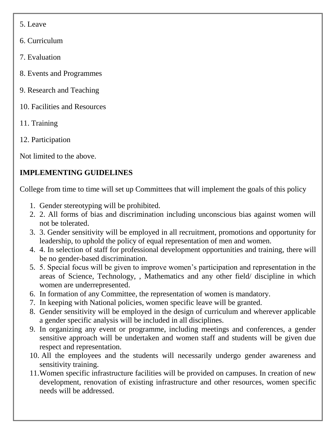- 5. Leave
- 6. Curriculum
- 7. Evaluation
- 8. Events and Programmes
- 9. Research and Teaching
- 10. Facilities and Resources
- 11. Training
- 12. Participation

Not limited to the above.

### **IMPLEMENTING GUIDELINES**

College from time to time will set up Committees that will implement the goals of this policy

- 1. Gender stereotyping will be prohibited.
- 2. 2. All forms of bias and discrimination including unconscious bias against women will not be tolerated.
- 3. 3. Gender sensitivity will be employed in all recruitment, promotions and opportunity for leadership, to uphold the policy of equal representation of men and women.
- 4. 4. In selection of staff for professional development opportunities and training, there will be no gender-based discrimination.
- 5. 5. Special focus will be given to improve women's participation and representation in the areas of Science, Technology, , Mathematics and any other field/ discipline in which women are underrepresented.
- 6. In formation of any Committee, the representation of women is mandatory.
- 7. In keeping with National policies, women specific leave will be granted.
- 8. Gender sensitivity will be employed in the design of curriculum and wherever applicable a gender specific analysis will be included in all disciplines.
- 9. In organizing any event or programme, including meetings and conferences, a gender sensitive approach will be undertaken and women staff and students will be given due respect and representation.
- 10. All the employees and the students will necessarily undergo gender awareness and sensitivity training.
- 11.Women specific infrastructure facilities will be provided on campuses. In creation of new development, renovation of existing infrastructure and other resources, women specific needs will be addressed.